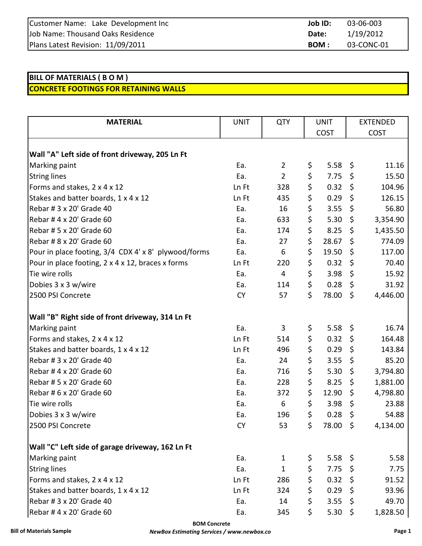| Customer Name: Lake Development Inc | Job ID: | 03-06-003  |
|-------------------------------------|---------|------------|
| Job Name: Thousand Oaks Residence   | Date:   | 1/19/2012  |
| Plans Latest Revision: 11/09/2011   | BOM :   | 03-CONC-01 |

## **BILL OF MATERIALS ( B O M ) CONCRETE FOOTINGS FOR RETAINING WALLS**

| <b>MATERIAL</b>                                      | <b>UNIT</b> | <b>QTY</b>     | <b>UNIT</b> |          | <b>EXTENDED</b> |          |
|------------------------------------------------------|-------------|----------------|-------------|----------|-----------------|----------|
|                                                      |             |                | <b>COST</b> |          | <b>COST</b>     |          |
|                                                      |             |                |             |          |                 |          |
| Wall "A" Left side of front driveway, 205 Ln Ft      |             |                |             |          |                 |          |
| Marking paint                                        | Ea.         | $\overline{2}$ | \$          | 5.58     | \$              | 11.16    |
| <b>String lines</b>                                  | Ea.         | $\overline{2}$ | \$          | 7.75     | \$              | 15.50    |
| Forms and stakes, 2 x 4 x 12                         | Ln Ft       | 328            | \$          | 0.32     | \$              | 104.96   |
| Stakes and batter boards, 1 x 4 x 12                 | Ln Ft       | 435            | \$          | 0.29     | \$              | 126.15   |
| Rebar # 3 x 20' Grade 40                             | Ea.         | 16             | \$          | 3.55     | \$              | 56.80    |
| Rebar # 4 x 20' Grade 60                             | Ea.         | 633            | \$          | 5.30     | \$              | 3,354.90 |
| Rebar # 5 x 20' Grade 60                             | Ea.         | 174            | \$          | 8.25     | \$              | 1,435.50 |
| Rebar # 8 x 20' Grade 60                             | Ea.         | 27             | \$          | 28.67    | \$              | 774.09   |
| Pour in place footing, 3/4 CDX 4' x 8' plywood/forms | Ea.         | 6              | \$          | 19.50    | \$              | 117.00   |
| Pour in place footing, 2 x 4 x 12, braces x forms    | Ln Ft       | 220            | \$          | 0.32     | \$              | 70.40    |
| Tie wire rolls                                       | Ea.         | 4              | \$          | 3.98     | \$              | 15.92    |
| Dobies 3 x 3 w/wire                                  | Ea.         | 114            | \$          | 0.28     | \$              | 31.92    |
| 2500 PSI Concrete                                    | <b>CY</b>   | 57             | \$          | 78.00    | \$              | 4,446.00 |
| Wall "B" Right side of front driveway, 314 Ln Ft     |             |                |             |          |                 |          |
| Marking paint                                        | Ea.         | 3              | \$          | 5.58     | \$              | 16.74    |
| Forms and stakes, 2 x 4 x 12                         | Ln Ft       | 514            | \$          | 0.32     | \$              | 164.48   |
| Stakes and batter boards, 1 x 4 x 12                 | Ln Ft       | 496            | \$          | 0.29     | \$              | 143.84   |
| Rebar # 3 x 20' Grade 40                             | Ea.         | 24             | \$          | 3.55     | \$              | 85.20    |
| Rebar # 4 x 20' Grade 60                             | Ea.         | 716            | \$          | 5.30     | \$              | 3,794.80 |
| Rebar # 5 x 20' Grade 60                             | Ea.         | 228            | \$          | 8.25     | \$              | 1,881.00 |
| Rebar # 6 x 20' Grade 60                             | Ea.         | 372            | \$          | 12.90    | \$              | 4,798.80 |
| Tie wire rolls                                       | Ea.         | 6              | \$          | 3.98     | \$              | 23.88    |
| Dobies 3 x 3 w/wire                                  | Ea.         | 196            | \$          | 0.28     | \$              | 54.88    |
| 2500 PSI Concrete                                    | <b>CY</b>   | 53             | \$          | 78.00 \$ |                 | 4,134.00 |
| Wall "C" Left side of garage driveway, 162 Ln Ft     |             |                |             |          |                 |          |
| Marking paint                                        | Ea.         | $\mathbf{1}$   | \$          | 5.58     | \$              | 5.58     |
| <b>String lines</b>                                  | Ea.         | $\mathbf{1}$   | \$          | 7.75     | \$              | 7.75     |
| Forms and stakes, 2 x 4 x 12                         | Ln Ft       | 286            | \$          | 0.32     | \$.             | 91.52    |
| Stakes and batter boards, 1 x 4 x 12                 | Ln Ft       | 324            | \$          | 0.29     | \$              | 93.96    |
| Rebar # 3 x 20' Grade 40                             | Ea.         | 14             | \$          | 3.55     | \$              | 49.70    |
| Rebar # 4 x 20' Grade 60                             | Ea.         | 345            | \$          | 5.30     | \$              | 1,828.50 |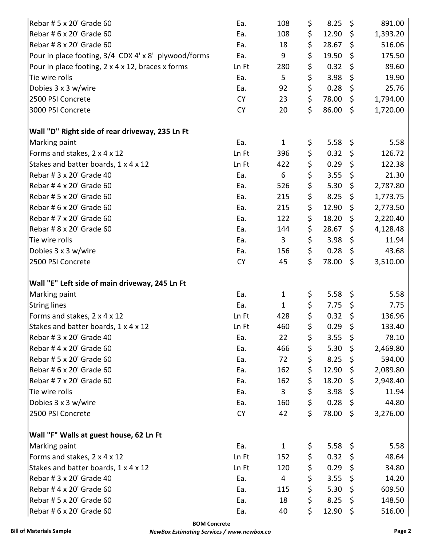| Rebar # 5 x 20' Grade 60                             | Ea.       | 108          | \$<br>8.25    | \$                 | 891.00   |
|------------------------------------------------------|-----------|--------------|---------------|--------------------|----------|
| Rebar # 6 x 20' Grade 60                             | Ea.       | 108          | \$<br>12.90   | \$                 | 1,393.20 |
| Rebar # 8 x 20' Grade 60                             | Ea.       | 18           | \$<br>28.67   | \$                 | 516.06   |
| Pour in place footing, 3/4 CDX 4' x 8' plywood/forms | Ea.       | 9            | \$<br>19.50   | $\zeta$            | 175.50   |
| Pour in place footing, 2 x 4 x 12, braces x forms    | Ln Ft     | 280          | \$<br>0.32    | $\varsigma$        | 89.60    |
| Tie wire rolls                                       | Ea.       | 5            | \$<br>3.98    | \$                 | 19.90    |
| Dobies 3 x 3 w/wire                                  | Ea.       | 92           | \$<br>0.28    | \$                 | 25.76    |
| 2500 PSI Concrete                                    | <b>CY</b> | 23           | \$<br>78.00   | \$                 | 1,794.00 |
| 3000 PSI Concrete                                    | <b>CY</b> | 20           | \$<br>86.00   | $\zeta$            | 1,720.00 |
| Wall "D" Right side of rear driveway, 235 Ln Ft      |           |              |               |                    |          |
| Marking paint                                        | Ea.       | $\mathbf{1}$ | \$<br>5.58    | $\ddot{\varsigma}$ | 5.58     |
| Forms and stakes, 2 x 4 x 12                         | Ln Ft     | 396          | \$<br>0.32    | \$                 | 126.72   |
| Stakes and batter boards, 1 x 4 x 12                 | Ln Ft     | 422          | \$<br>0.29    | \$                 | 122.38   |
| Rebar # 3 x 20' Grade 40                             | Ea.       | 6            | \$<br>3.55    | \$                 | 21.30    |
| Rebar # 4 x 20' Grade 60                             | Ea.       | 526          | \$<br>5.30    | \$                 | 2,787.80 |
| Rebar # 5 x 20' Grade 60                             | Ea.       | 215          | \$<br>8.25    | $\varsigma$        | 1,773.75 |
| Rebar # 6 x 20' Grade 60                             | Ea.       | 215          | \$<br>12.90   | \$                 | 2,773.50 |
| Rebar # 7 x 20' Grade 60                             | Ea.       | 122          | \$<br>18.20   | \$                 | 2,220.40 |
| Rebar # 8 x 20' Grade 60                             | Ea.       | 144          | \$<br>28.67   | \$                 | 4,128.48 |
| Tie wire rolls                                       | Ea.       | 3            | \$<br>3.98    | \$                 | 11.94    |
| Dobies 3 x 3 w/wire                                  | Ea.       | 156          | \$<br>0.28    | \$                 | 43.68    |
| 2500 PSI Concrete                                    | <b>CY</b> | 45           | \$<br>78.00   | \$                 | 3,510.00 |
| Wall "E" Left side of main driveway, 245 Ln Ft       |           |              |               |                    |          |
| Marking paint                                        | Ea.       | $\mathbf{1}$ | \$<br>5.58    | $\zeta$            | 5.58     |
| <b>String lines</b>                                  | Ea.       | $\mathbf{1}$ | \$<br>7.75    | \$                 | 7.75     |
| Forms and stakes, 2 x 4 x 12                         | Ln Ft     | 428          | \$<br>0.32    | \$                 | 136.96   |
| Stakes and batter boards, 1 x 4 x 12                 | Ln Ft     | 460          | \$<br>0.29    | Ş                  | 133.40   |
| Rebar # 3 x 20' Grade 40                             | Ea.       | 22           | \$<br>3.55    | $\zeta$            | 78.10    |
| Rebar # 4 x 20' Grade 60                             | Ea.       | 466          | \$<br>5.30    | \$                 | 2,469.80 |
| Rebar # 5 x 20' Grade 60                             | Ea.       | 72           | \$<br>8.25    | \$                 | 594.00   |
| Rebar # 6 x 20' Grade 60                             | Ea.       | 162          | \$<br>12.90   | $\zeta$            | 2,089.80 |
| Rebar # 7 x 20' Grade 60                             | Ea.       | 162          | \$<br>18.20   | \$                 | 2,948.40 |
| Tie wire rolls                                       | Ea.       | 3            | \$<br>3.98    | \$                 | 11.94    |
| Dobies 3 x 3 w/wire                                  | Ea.       | 160          | \$<br>0.28    | \$                 | 44.80    |
| 2500 PSI Concrete                                    | <b>CY</b> | 42           | \$<br>78.00   | $\zeta$            | 3,276.00 |
| Wall "F" Walls at guest house, 62 Ln Ft              |           |              |               |                    |          |
| Marking paint                                        | Ea.       | $\mathbf{1}$ | \$<br>5.58 \$ |                    | 5.58     |
| Forms and stakes, 2 x 4 x 12                         | Ln Ft     | 152          | \$<br>0.32    | \$                 | 48.64    |
| Stakes and batter boards, 1 x 4 x 12                 | Ln Ft     | 120          | \$<br>0.29    | \$                 | 34.80    |
| Rebar # 3 x 20' Grade 40                             | Ea.       | 4            | \$<br>3.55    | \$                 | 14.20    |
| Rebar # 4 x 20' Grade 60                             | Ea.       | 115          | \$<br>5.30    | \$                 | 609.50   |
| Rebar # 5 x 20' Grade 60                             | Ea.       | 18           | \$<br>8.25    | \$                 | 148.50   |
| Rebar # 6 x 20' Grade 60                             | Ea.       | 40           | \$<br>12.90   | $\zeta$            | 516.00   |